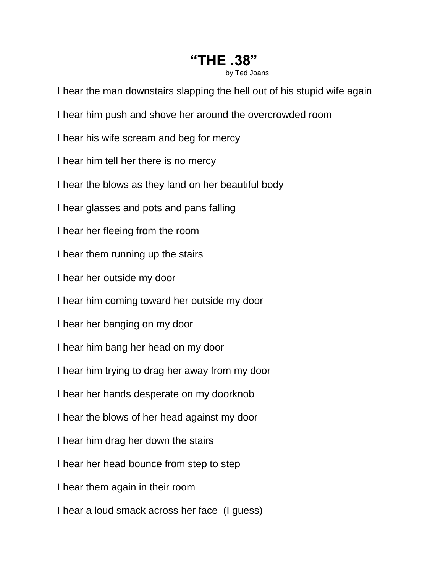## **"THE .38"**

by Ted Joans

I hear the man downstairs slapping the hell out of his stupid wife again

- I hear him push and shove her around the overcrowded room
- I hear his wife scream and beg for mercy
- I hear him tell her there is no mercy
- I hear the blows as they land on her beautiful body
- I hear glasses and pots and pans falling
- I hear her fleeing from the room
- I hear them running up the stairs
- I hear her outside my door
- I hear him coming toward her outside my door
- I hear her banging on my door
- I hear him bang her head on my door
- I hear him trying to drag her away from my door
- I hear her hands desperate on my doorknob
- I hear the blows of her head against my door
- I hear him drag her down the stairs
- I hear her head bounce from step to step
- I hear them again in their room
- I hear a loud smack across her face (I guess)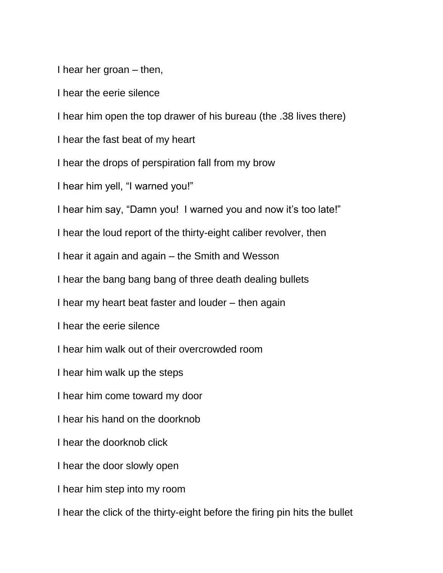I hear her groan – then,

I hear the eerie silence

I hear him open the top drawer of his bureau (the .38 lives there)

I hear the fast beat of my heart

I hear the drops of perspiration fall from my brow

I hear him yell, "I warned you!"

I hear him say, "Damn you! I warned you and now it's too late!"

I hear the loud report of the thirty-eight caliber revolver, then

I hear it again and again – the Smith and Wesson

I hear the bang bang bang of three death dealing bullets

I hear my heart beat faster and louder – then again

I hear the eerie silence

I hear him walk out of their overcrowded room

I hear him walk up the steps

I hear him come toward my door

I hear his hand on the doorknob

I hear the doorknob click

I hear the door slowly open

I hear him step into my room

I hear the click of the thirty-eight before the firing pin hits the bullet